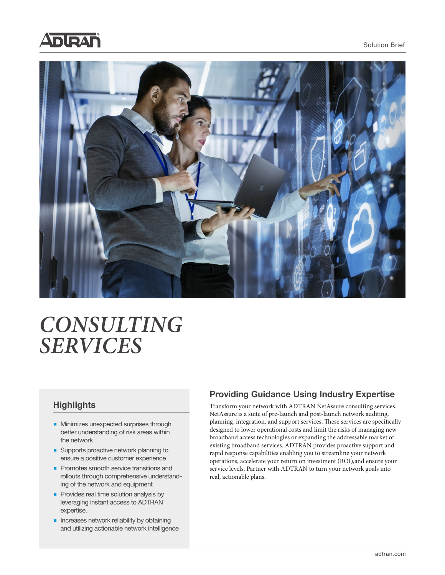



# *CONSULTING SERVICES*

# **Highlights**

- Minimizes unexpected surprises through better understanding of risk areas within the network
- Supports proactive network planning to ensure a positive customer experience
- Promotes smooth service transitions and rollouts through comprehensive understanding of the network and equipment
- Provides real time solution analysis by leveraging instant access to ADTRAN expertise.
- Increases network reliability by obtaining and utilizing actionable network intelligence

# **Providing Guidance Using Industry Expertise**

Transform your network with ADTRAN NetAssure consulting services. NetAssure is a suite of pre-launch and post-launch network auditing, planning, integration, and support services. These services are specifically designed to lower operational costs and limit the risks of managing new broadband access technologies or expanding the addressable market of existing broadband services. ADTRAN provides proactive support and rapid response capabilities enabling you to streamline your network operations, accelerate your return on investment (ROI),and ensure your service levels. Partner with ADTRAN to turn your network goals into real, actionable plans.